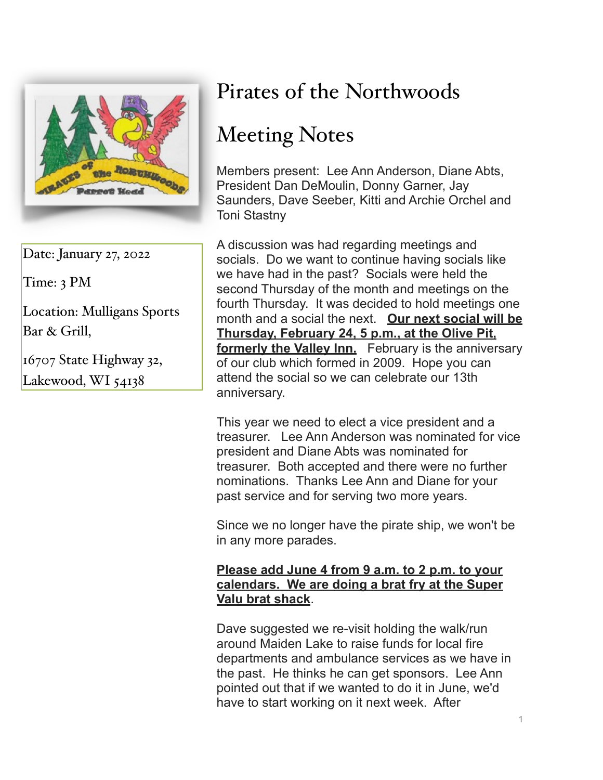

Date: January 27, 2022

Time: 3 PM

Location: Mulligans Sports Bar & Grill,

16707 State Highway 32, Lakewood, WI 54138

## Pirates of the Northwoods

## Meeting Notes

Members present: Lee Ann Anderson, Diane Abts, President Dan DeMoulin, Donny Garner, Jay Saunders, Dave Seeber, Kitti and Archie Orchel and Toni Stastny

A discussion was had regarding meetings and socials. Do we want to continue having socials like we have had in the past? Socials were held the second Thursday of the month and meetings on the fourth Thursday. It was decided to hold meetings one month and a social the next. **Our next social will be Thursday, February 24, 5 p.m., at the Olive Pit, formerly the Valley Inn.** February is the anniversary of our club which formed in 2009. Hope you can attend the social so we can celebrate our 13th anniversary.

This year we need to elect a vice president and a treasurer. Lee Ann Anderson was nominated for vice president and Diane Abts was nominated for treasurer. Both accepted and there were no further nominations. Thanks Lee Ann and Diane for your past service and for serving two more years.

Since we no longer have the pirate ship, we won't be in any more parades.

## **Please add June 4 from 9 a.m. to 2 p.m. to your calendars. We are doing a brat fry at the Super Valu brat shack**.

Dave suggested we re-visit holding the walk/run around Maiden Lake to raise funds for local fire departments and ambulance services as we have in the past. He thinks he can get sponsors. Lee Ann pointed out that if we wanted to do it in June, we'd have to start working on it next week. After